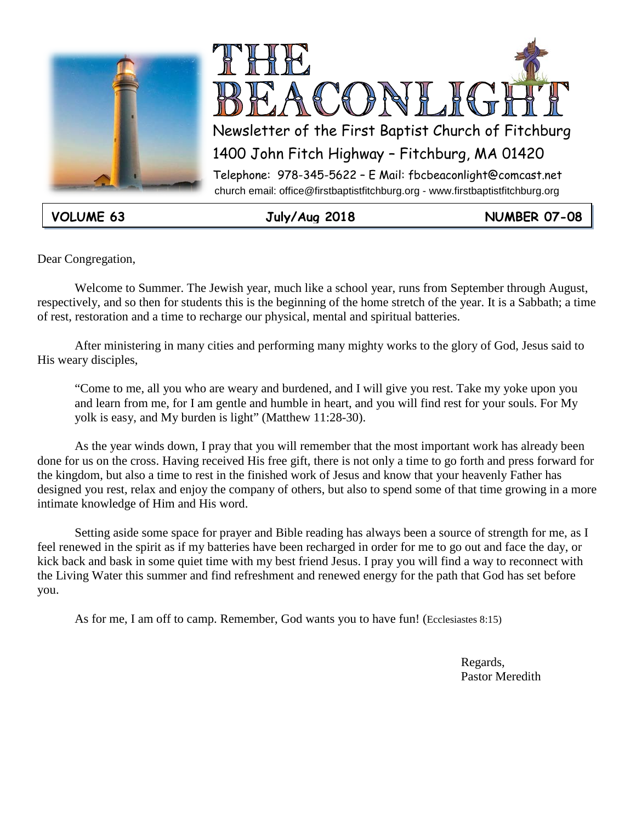



**VOLUME 63 July/Aug 2018 NUMBER 07-08**

Dear Congregation,

Welcome to Summer. The Jewish year, much like a school year, runs from September through August, respectively, and so then for students this is the beginning of the home stretch of the year. It is a Sabbath; a time of rest, restoration and a time to recharge our physical, mental and spiritual batteries.

After ministering in many cities and performing many mighty works to the glory of God, Jesus said to His weary disciples,

"Come to me, all you who are weary and burdened, and I will give you rest. Take my yoke upon you and learn from me, for I am gentle and humble in heart, and you will find rest for your souls. For My yolk is easy, and My burden is light" (Matthew 11:28-30).

As the year winds down, I pray that you will remember that the most important work has already been done for us on the cross. Having received His free gift, there is not only a time to go forth and press forward for the kingdom, but also a time to rest in the finished work of Jesus and know that your heavenly Father has designed you rest, relax and enjoy the company of others, but also to spend some of that time growing in a more intimate knowledge of Him and His word.

Setting aside some space for prayer and Bible reading has always been a source of strength for me, as I feel renewed in the spirit as if my batteries have been recharged in order for me to go out and face the day, or kick back and bask in some quiet time with my best friend Jesus. I pray you will find a way to reconnect with the Living Water this summer and find refreshment and renewed energy for the path that God has set before you.

As for me, I am off to camp. Remember, God wants you to have fun! (Ecclesiastes 8:15)

**Regards,** Pastor Meredith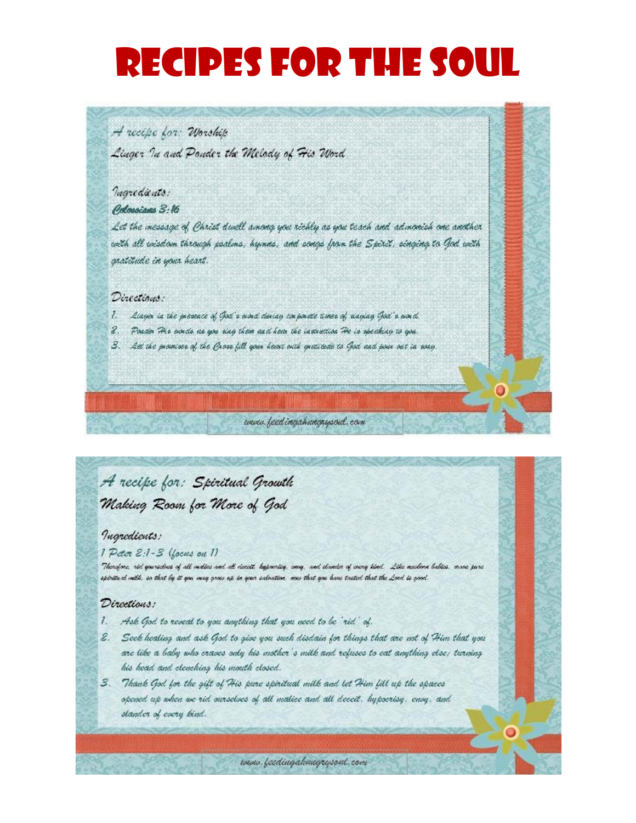# RECIPES FOR THE SOUL

### A recept for Worship

Linger In and Ponder the Melody of Fic Word

### Ingredients:

#### Odmoissa S:16

Let the message of Christ dwell among you richly as you teach and admonish one another with all wisdom through poalms, hymns, and songs from the Spirit, singing to God with gratitude in your heart.

#### Directions:

- $\ddot{l}$ Lidger in the presence of God's ownd during corporate times of sidging God's word.
- 2. Poster The evale as you sing them and hear the instruction The is speaking to you.
- 3. Att the provinces of the Gross fill your heart outh gratitude to God and pour out in sony.

### A recipe for: Spiritual Growth Making Room for More of God

### *Ingredients:*

#### 1 Peter 2:1-3 (focus on 1)

Therefore, rid gourselves of all moltes and all decett, bypoerteg, song, and clander of crong kind. Like meelone bables, ovane pare spiritual milk, so that by it you may grow up in your salvation, men that you have tasted that the Lord is good.

www.feedingahungaysoul.com

#### Directions:

- 1. Ask God to reveal to you anything that you need to be 'rid' of.
- 2. Seek healing and ask God to give you such disdain for things that are not of Him that you are like a baby who craves only his mother's milk and refuses to eat anything else; turning his head and elenching his mouth closed.
- 3. Thank God for the gift of His pure spiritual milk and let Him fill up the spaces opened up when we rid ourselves of all matice and all deceit. hypocrisy, ensy, and stander of every kind.

www.feedingalungrysoul.com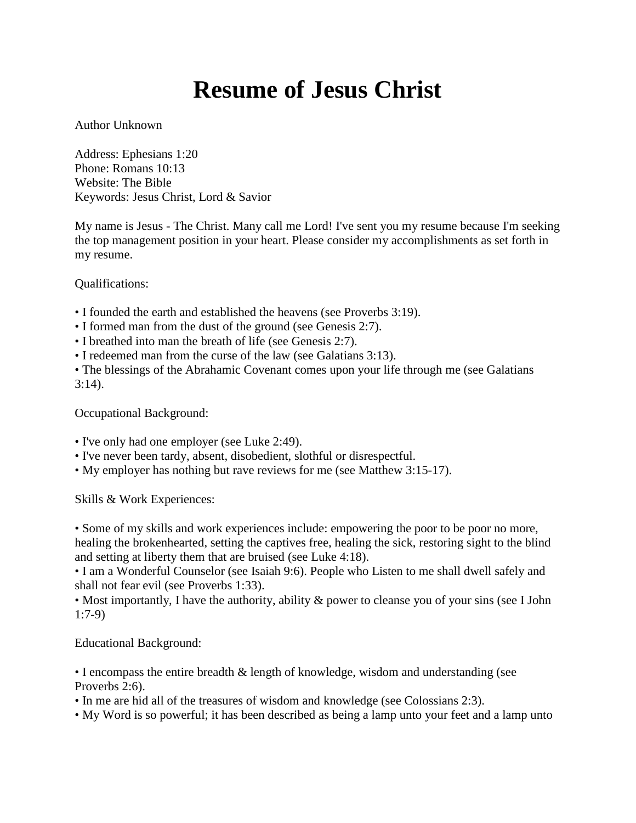### **Resume of Jesus Christ**

Author Unknown

Address: Ephesians 1:20 Phone: Romans 10:13 Website: The Bible Keywords: Jesus Christ, Lord & Savior

My name is Jesus - The Christ. Many call me Lord! I've sent you my resume because I'm seeking the top management position in your heart. Please consider my accomplishments as set forth in my resume.

Qualifications:

- I founded the earth and established the heavens (see Proverbs 3:19).
- I formed man from the dust of the ground (see Genesis 2:7).
- I breathed into man the breath of life (see Genesis 2:7).
- I redeemed man from the curse of the law (see Galatians 3:13).

• The blessings of the Abrahamic Covenant comes upon your life through me (see Galatians  $3:14$ ).

Occupational Background:

- I've only had one employer (see Luke 2:49).
- I've never been tardy, absent, disobedient, slothful or disrespectful.
- My employer has nothing but rave reviews for me (see Matthew 3:15-17).

Skills & Work Experiences:

• Some of my skills and work experiences include: empowering the poor to be poor no more, healing the brokenhearted, setting the captives free, healing the sick, restoring sight to the blind and setting at liberty them that are bruised (see Luke 4:18).

• I am a Wonderful Counselor (see Isaiah 9:6). People who Listen to me shall dwell safely and shall not fear evil (see Proverbs 1:33).

• Most importantly, I have the authority, ability & power to cleanse you of your sins (see I John 1:7-9)

Educational Background:

• I encompass the entire breadth & length of knowledge, wisdom and understanding (see Proverbs 2:6).

- In me are hid all of the treasures of wisdom and knowledge (see Colossians 2:3).
- My Word is so powerful; it has been described as being a lamp unto your feet and a lamp unto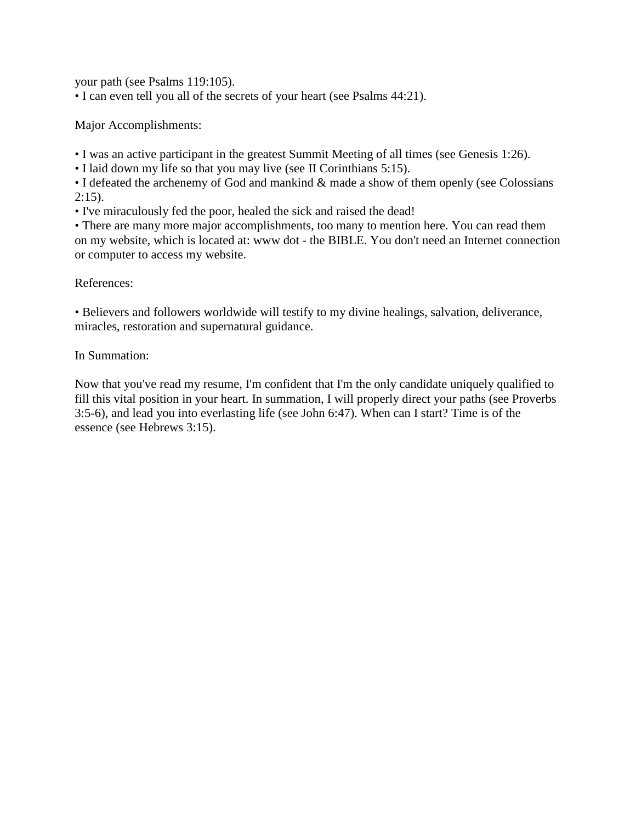your path (see Psalms 119:105).

• I can even tell you all of the secrets of your heart (see Psalms 44:21).

Major Accomplishments:

• I was an active participant in the greatest Summit Meeting of all times (see Genesis 1:26).

• I laid down my life so that you may live (see II Corinthians 5:15).

• I defeated the archenemy of God and mankind & made a show of them openly (see Colossians  $2:15$ ).

• I've miraculously fed the poor, healed the sick and raised the dead!

• There are many more major accomplishments, too many to mention here. You can read them on my website, which is located at: www dot - the BIBLE. You don't need an Internet connection or computer to access my website.

References:

• Believers and followers worldwide will testify to my divine healings, salvation, deliverance, miracles, restoration and supernatural guidance.

In Summation:

Now that you've read my resume, I'm confident that I'm the only candidate uniquely qualified to fill this vital position in your heart. In summation, I will properly direct your paths (see Proverbs 3:5-6), and lead you into everlasting life (see John 6:47). When can I start? Time is of the essence (see Hebrews 3:15).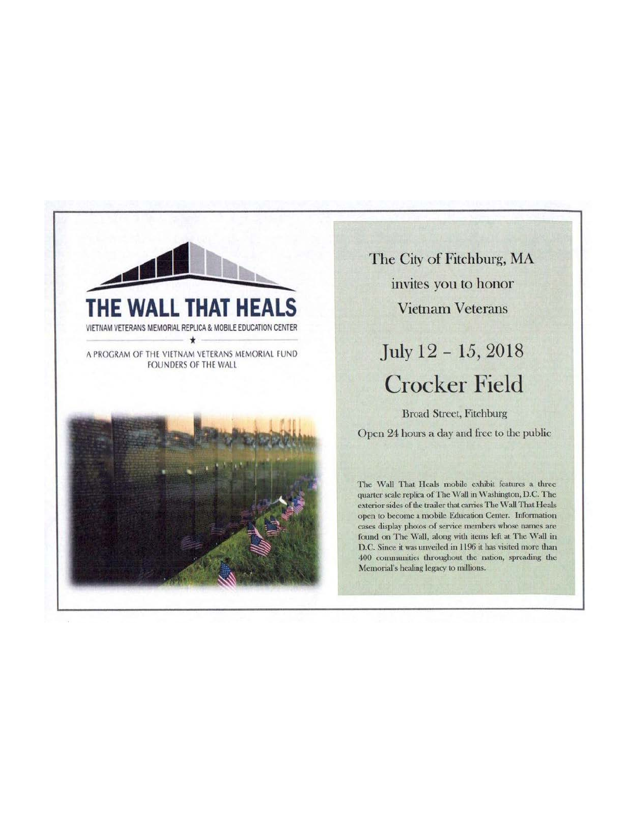

The City of Fitchburg, MA invites you to honor **Vietnam Veterans** 

July 12 - 15, 2018 **Crocker Field** 

**Broad Street, Fitchburg** Open 24 hours a day and free to the public

The Wall That Heals mobile exhibit features a three quarter scale replica of The Wall in Washington, D.C. The exterior sides of the trailer that carries The Wall That Heals open to become a mobile Education Center. Information cases display photos of service members whose names are found on The Wall, along with items left at The Wall in D.C. Since it was unveiled in 1196 it has visited more than 400 communities throughout the nation, spreading the Memorial's healing legacy to millions.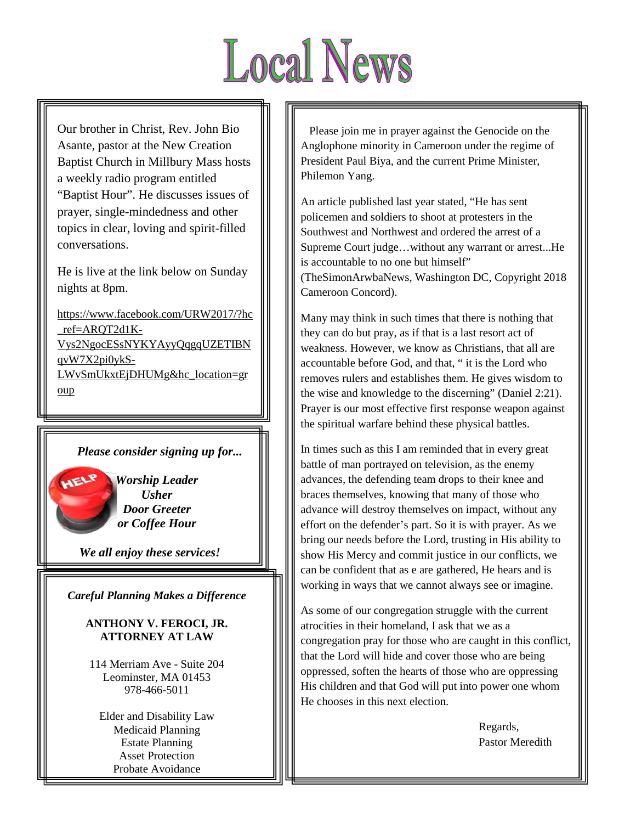# **Local News**

Our brother in Christ, Rev. John Bio Asante, pastor at the New Creation Baptist Church in Millbury Mass hosts a weekly radio program entitled "Baptist Hour". He discusses issues of prayer, single-mindedness and other topics in clear, loving and spirit-filled conversations.

He is live at the link below on Sunday nights at 8pm.

[https://www.facebook.com/URW2017/?hc](https://www.facebook.com/URW2017/?hc_ref=ARQT2d1K-Vys2NgocESsNYKYAyyQqgqUZETIBNqvW7X2pi0ykS-LWvSmUkxtEjDHUMg&hc_location=group) [\\_ref=ARQT2d1K-](https://www.facebook.com/URW2017/?hc_ref=ARQT2d1K-Vys2NgocESsNYKYAyyQqgqUZETIBNqvW7X2pi0ykS-LWvSmUkxtEjDHUMg&hc_location=group)[Vys2NgocESsNYKYAyyQqgqUZETIBN](https://www.facebook.com/URW2017/?hc_ref=ARQT2d1K-Vys2NgocESsNYKYAyyQqgqUZETIBNqvW7X2pi0ykS-LWvSmUkxtEjDHUMg&hc_location=group) [qvW7X2pi0ykS-](https://www.facebook.com/URW2017/?hc_ref=ARQT2d1K-Vys2NgocESsNYKYAyyQqgqUZETIBNqvW7X2pi0ykS-LWvSmUkxtEjDHUMg&hc_location=group)[LWvSmUkxtEjDHUMg&hc\\_location=gr](https://www.facebook.com/URW2017/?hc_ref=ARQT2d1K-Vys2NgocESsNYKYAyyQqgqUZETIBNqvW7X2pi0ykS-LWvSmUkxtEjDHUMg&hc_location=group) [oup](https://www.facebook.com/URW2017/?hc_ref=ARQT2d1K-Vys2NgocESsNYKYAyyQqgqUZETIBNqvW7X2pi0ykS-LWvSmUkxtEjDHUMg&hc_location=group)

### *Please consider signing up for...*

*Worship Leader Usher Door Greeter or Coffee Hour*

*We all enjoy these services!*

*Careful Planning Makes a Difference*

**ANTHONY V. FEROCI, JR. ATTORNEY AT LAW**

 114 Merriam Ave - Suite 204 Leominster, MA 01453 978-466-5011

Elder and Disability Law Medicaid Planning Estate Planning Asset Protection Probate Avoidance

 Please join me in prayer against the Genocide on the Anglophone minority in Cameroon under the regime of President Paul Biya, and the current Prime Minister, Philemon Yang.

An article published last year stated, "He has sent policemen and soldiers to shoot at protesters in the Southwest and Northwest and ordered the arrest of a Supreme Court judge…without any warrant or arrest...He is accountable to no one but himself" (TheSimonArwbaNews, Washington DC, Copyright 2018 Cameroon Concord).

Many may think in such times that there is nothing that they can do but pray, as if that is a last resort act of weakness. However, we know as Christians, that all are accountable before God, and that, " it is the Lord who removes rulers and establishes them. He gives wisdom to the wise and knowledge to the discerning" (Daniel 2:21). Prayer is our most effective first response weapon against the spiritual warfare behind these physical battles.

In times such as this I am reminded that in every great battle of man portrayed on television, as the enemy advances, the defending team drops to their knee and braces themselves, knowing that many of those who advance will destroy themselves on impact, without any effort on the defender's part. So it is with prayer. As we bring our needs before the Lord, trusting in His ability to show His Mercy and commit justice in our conflicts, we can be confident that as e are gathered, He hears and is working in ways that we cannot always see or imagine.

As some of our congregation struggle with the current atrocities in their homeland, I ask that we as a congregation pray for those who are caught in this conflict, that the Lord will hide and cover those who are being oppressed, soften the hearts of those who are oppressing His children and that God will put into power one whom He chooses in this next election.

> Regards, Pastor Meredith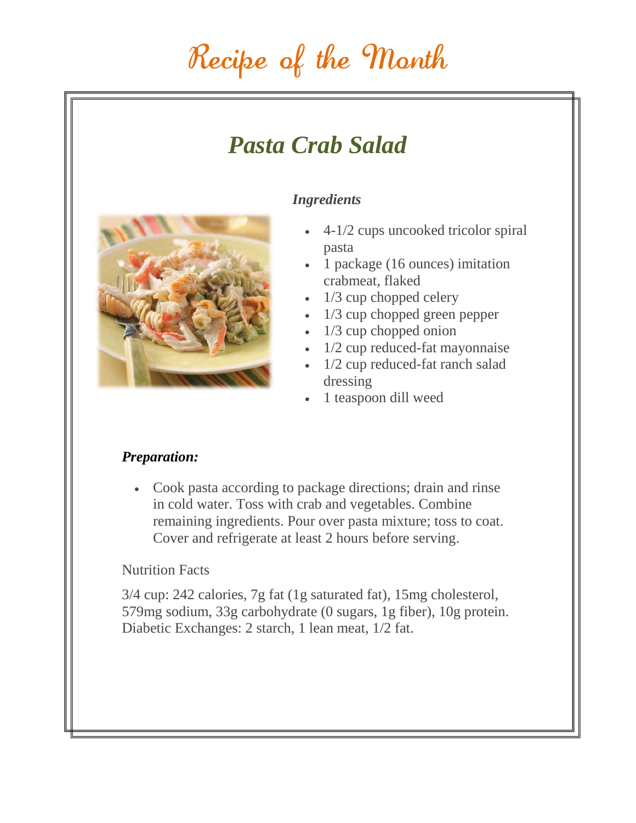### Recipe of the Month

### *Pasta Crab Salad*



### *Ingredients*

- 4-1/2 cups uncooked tricolor spiral pasta
- 1 package (16 ounces) imitation crabmeat, flaked
- 1/3 cup chopped celery
- 1/3 cup chopped green pepper
- 1/3 cup chopped onion
- 1/2 cup reduced-fat mayonnaise
- 1/2 cup reduced-fat ranch salad dressing
- 1 teaspoon dill weed

### *Preparation:*

• Cook pasta according to package directions; drain and rinse in cold water. Toss with crab and vegetables. Combine remaining ingredients. Pour over pasta mixture; toss to coat. Cover and refrigerate at least 2 hours before serving.

### Nutrition Facts

3/4 cup: 242 calories, 7g fat (1g saturated fat), 15mg cholesterol, 579mg sodium, 33g carbohydrate (0 sugars, 1g fiber), 10g protein. Diabetic Exchanges: 2 starch, 1 lean meat, 1/2 fat.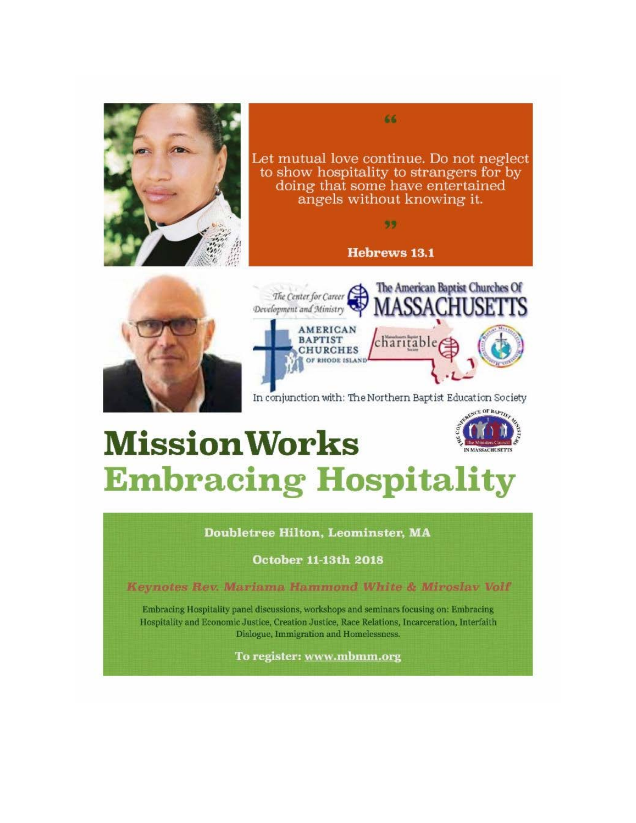

Let mutual love continue. Do not neglect to show hospitality to strangers for by doing that some have entertained angels without knowing it.

66

99

### **Hebrews 13.1**





In conjunction with: The Northern Baptist Education Society

## **Mission Works Embracing Hospitality**

**Doubletree Hilton, Leominster, MA** 

**October 11-13th 2018** 

Keynotes Rev. Mariama Hammond White & Miroslav Volf

Embracing Hospitality panel discussions, workshops and seminars focusing on: Embracing Hospitality and Economic Justice, Creation Justice, Race Relations, Incarceration, Interfaith Dialogue, Immigration and Homelessness.

To register: www.mbmm.org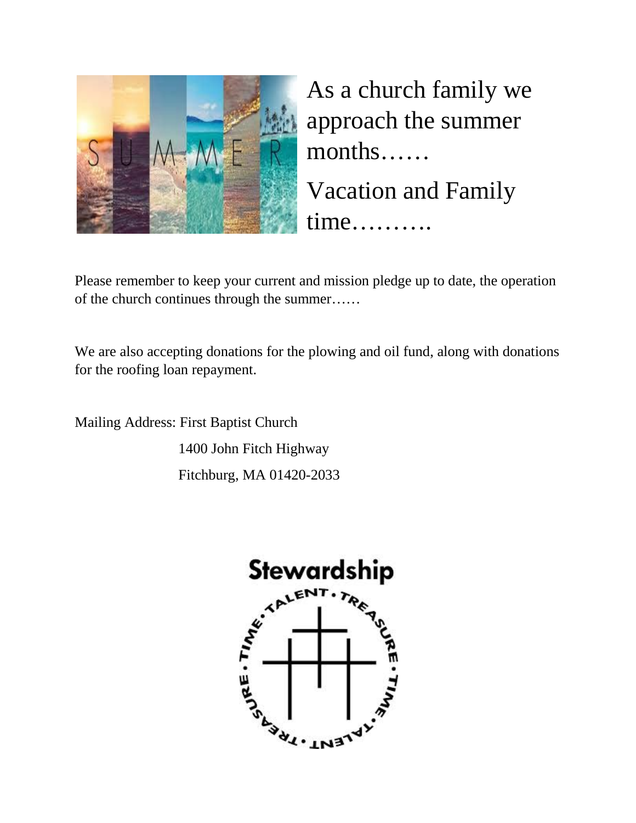

As a church family we approach the summer months……

Vacation and Family time……….

Please remember to keep your current and mission pledge up to date, the operation of the church continues through the summer……

We are also accepting donations for the plowing and oil fund, along with donations for the roofing loan repayment.

Mailing Address: First Baptist Church 1400 John Fitch Highway Fitchburg, MA 01420-2033

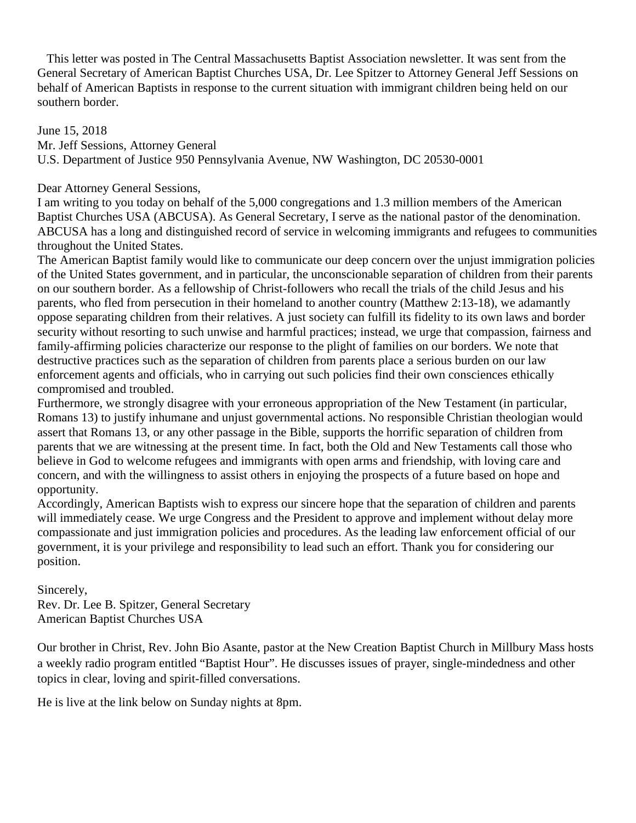This letter was posted in The Central Massachusetts Baptist Association newsletter. It was sent from the General Secretary of American Baptist Churches USA, Dr. Lee Spitzer to Attorney General Jeff Sessions on behalf of American Baptists in response to the current situation with immigrant children being held on our southern border.

June 15, 2018 Mr. Jeff Sessions, Attorney General U.S. Department of Justice 950 Pennsylvania Avenue, NW Washington, DC 20530-0001

Dear Attorney General Sessions,

I am writing to you today on behalf of the 5,000 congregations and 1.3 million members of the American Baptist Churches USA (ABCUSA). As General Secretary, I serve as the national pastor of the denomination. ABCUSA has a long and distinguished record of service in welcoming immigrants and refugees to communities throughout the United States.

The American Baptist family would like to communicate our deep concern over the unjust immigration policies of the United States government, and in particular, the unconscionable separation of children from their parents on our southern border. As a fellowship of Christ-followers who recall the trials of the child Jesus and his parents, who fled from persecution in their homeland to another country (Matthew 2:13-18), we adamantly oppose separating children from their relatives. A just society can fulfill its fidelity to its own laws and border security without resorting to such unwise and harmful practices; instead, we urge that compassion, fairness and family-affirming policies characterize our response to the plight of families on our borders. We note that destructive practices such as the separation of children from parents place a serious burden on our law enforcement agents and officials, who in carrying out such policies find their own consciences ethically compromised and troubled.

Furthermore, we strongly disagree with your erroneous appropriation of the New Testament (in particular, Romans 13) to justify inhumane and unjust governmental actions. No responsible Christian theologian would assert that Romans 13, or any other passage in the Bible, supports the horrific separation of children from parents that we are witnessing at the present time. In fact, both the Old and New Testaments call those who believe in God to welcome refugees and immigrants with open arms and friendship, with loving care and concern, and with the willingness to assist others in enjoying the prospects of a future based on hope and opportunity.

Accordingly, American Baptists wish to express our sincere hope that the separation of children and parents will immediately cease. We urge Congress and the President to approve and implement without delay more compassionate and just immigration policies and procedures. As the leading law enforcement official of our government, it is your privilege and responsibility to lead such an effort. Thank you for considering our position.

Sincerely,

Rev. Dr. Lee B. Spitzer, General Secretary American Baptist Churches USA

Our brother in Christ, Rev. John Bio Asante, pastor at the New Creation Baptist Church in Millbury Mass hosts a weekly radio program entitled "Baptist Hour". He discusses issues of prayer, single-mindedness and other topics in clear, loving and spirit-filled conversations.

He is live at the link below on Sunday nights at 8pm.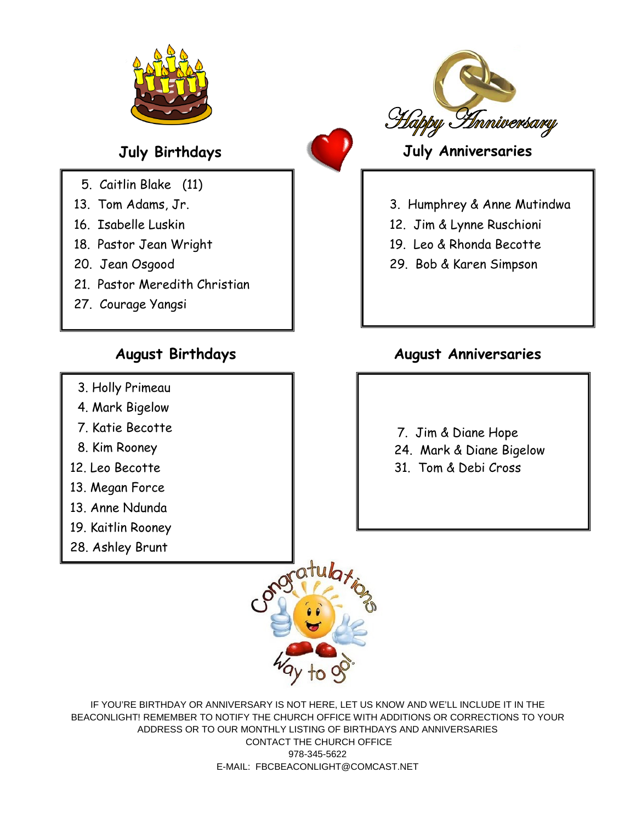



- 5. Caitlin Blake (11)
- 13. Tom Adams, Jr.
- 16. Isabelle Luskin
- 18. Pastor Jean Wright
- 20. Jean Osgood
- 21. Pastor Meredith Christian
- 27. Courage Yangsi

### **August Birthdays**

- 3. Holly Primeau
- 4. Mark Bigelow
- 7. Katie Becotte
- 8. Kim Rooney
- 12. Leo Becotte
- 13. Megan Force
- 13. Anne Ndunda
- 19. Kaitlin Rooney
- 28. Ashley Brunt



- 12. Jim & Lynne Ruschioni
- 19. Leo & Rhonda Becotte
- 29. Bob & Karen Simpson

### **August Anniversaries**

- 7. Jim & Diane Hope
- 24. Mark & Diane Bigelow
- 31. Tom & Debi Cross



IF YOU'RE BIRTHDAY OR ANNIVERSARY IS NOT HERE, LET US KNOW AND WE'LL INCLUDE IT IN THE BEACONLIGHT! REMEMBER TO NOTIFY THE CHURCH OFFICE WITH ADDITIONS OR CORRECTIONS TO YOUR ADDRESS OR TO OUR MONTHLY LISTING OF BIRTHDAYS AND ANNIVERSARIES CONTACT THE CHURCH OFFICE 978-345-5622 E-MAIL: FBCBEACONLIGHT@COMCAST.NET